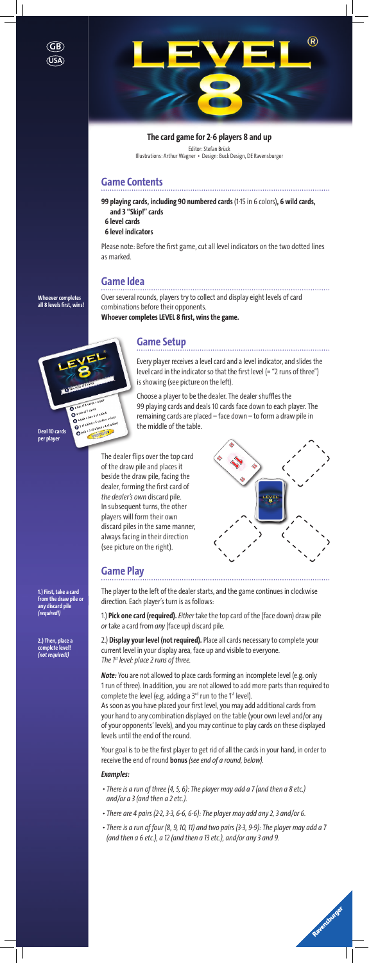## **Game Contents**

**99 playing cards, including 90 numbered cards** (1-15 in 6 colors)**, 6 wild cards, and 3 "Skip!" cards**

**6 level cards**

**6 level indicators**

Please note: Before the first game, cut all level indicators on the two dotted lines as marked.

### **Game Idea**

Over several rounds, players try to collect and display eight levels of card combinations before their opponents. **Whoever completes LEVEL 8 first, wins the game.**

## **Game Setup**

Every player receives a level card and a level indicator, and slides the level card in the indicator so that the first level (= "2 runs of three") is showing (see picture on the left).

Choose a player to be the dealer. The dealer shuffles the 99 playing cards and deals 10 cards face down to each player. The remaining cards are placed – face down – to form a draw pile in the middle of the table.

*Note:* You are not allowed to place cards forming an incomplete level (e.g. only 1 run of three). In addition, you are not allowed to add more parts than required to complete the level (e.g. adding a  $3^{rd}$  run to the 1st level).

a run of 6 cards + a p a run of 6 carus

a run of 7 cards<br>a run of 7 cards<br>a a pair + two 3 of a kind  $9$ a pair + two 3 of a kino<br>  $9$  a pair + two 3 of a kino<br>  $9$  3 of a kind + 5 cards = compared + 4 of a pair + two<br>as of a kind + 5 cards = colour<br>and a sof a kind + 4 of a kind<br>and x 10 TORY +3 of a kind + 4 or

> The dealer flips over the top card of the draw pile and places it beside the draw pile, facing the dealer, forming the first card of *the dealer's own* discard pile. In subsequent turns, the other players will form their own discard piles in the same manner, always facing in their direction (see picture on the right).



## **Game Play**

The player to the left of the dealer starts, and the game continues in clockwise direction. Each player´s turn is as follows:

1.) **Pick one card (required).***Either* take the top card of the (face down) draw pile *or* take a card from *any* (face up) discard pile.

2.) **Display your level (not required).** Place all cards necessary to complete your current level in your display area, face up and visible to everyone. *The 1st level: place 2 runs of three.* 

As soon as you have placed your first level, you may add additional cards from your hand to any combination displayed on the table (your own level and/or any of your opponents' levels), and you may continue to play cards on these displayed levels until the end of the round.

Your goal is to be the first player to get rid of all the cards in your hand, in order to receive the end of round **bonus** *(see end of a round, below)*.

### *Examples:*

- *• There is a run of three (4, 5, 6): The player may add a 7 (and then a 8 etc.) and/or a 3 (and then a 2 etc.).*
- *There are 4 pairs (2-2, 3-3, 6-6, 6-6): The player may add any 2, 3 and/or 6.*
- *There is a run of four (8, 9, 10, 11) and two pairs (3-3, 9-9): The player may add a 7 (and then a 6 etc.), a 12 (and then a 13 etc.), and/or any 3 and 9.*



**1.) First, take a card from the draw pile or any discard pile**  *(required!)* 

**2.) Then, place a complete level!**  *(not required!)*

**Deal 10 cards per player**

**Whoever completes all 8 levels first, wins!**

### **The card game for 2-6 players 8 and up**

Editor: Stefan Brück Illustrations: Arthur Wagner • Design: Buck Design, DE Ravensburger